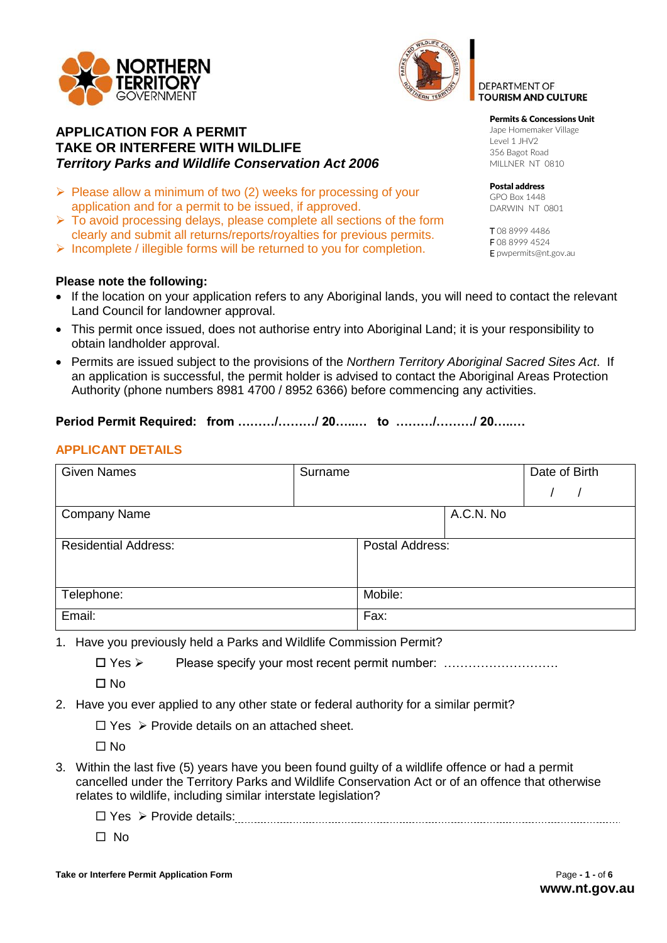



## **APPLICATION FOR A PERMIT TAKE OR INTERFERE WITH WILDLIFE**  *Territory Parks and Wildlife Conservation Act 2006*

- $\triangleright$  Please allow a minimum of two (2) weeks for processing of your application and for a permit to be issued, if approved.
- $\triangleright$  To avoid processing delays, please complete all sections of the form clearly and submit all returns/reports/royalties for previous permits.
- $\triangleright$  Incomplete / illegible forms will be returned to you for completion.

## **Please note the following:**

- If the location on your application refers to any Aboriginal lands, you will need to contact the relevant Land Council for landowner approval.
- This permit once issued, does not authorise entry into Aboriginal Land; it is your responsibility to obtain landholder approval.
- Permits are issued subject to the provisions of the *Northern Territory Aboriginal Sacred Sites Act*. If an application is successful, the permit holder is advised to contact the Aboriginal Areas Protection Authority (phone numbers 8981 4700 / 8952 6366) before commencing any activities.

## **Period Permit Required: from ………/………/ 20…..… to ………/………/ 20…..…**

## **APPLICANT DETAILS**

| <b>Given Names</b>          | Surname |                 |           | Date of Birth |
|-----------------------------|---------|-----------------|-----------|---------------|
|                             |         |                 |           |               |
| <b>Company Name</b>         |         |                 | A.C.N. No |               |
| <b>Residential Address:</b> |         | Postal Address: |           |               |
| Telephone:                  |         | Mobile:         |           |               |
| Email:                      |         | Fax:            |           |               |

- 1. Have you previously held a Parks and Wildlife Commission Permit?
	- □ Yes > Please specify your most recent permit number: .........................

 $\Pi$  No

- 2. Have you ever applied to any other state or federal authority for a similar permit?
	- $\Box$  Yes  $\triangleright$  Provide details on an attached sheet.

 $\Box$  No

- 3. Within the last five (5) years have you been found guilty of a wildlife offence or had a permit cancelled under the Territory Parks and Wildlife Conservation Act or of an offence that otherwise relates to wildlife, including similar interstate legislation?
	- Yes Provide details:
	- $\Box$  No

Permits & Concessions Unit

Jape Homemaker Village Level 1 JHV2 356 Bagot Road MILLNER NT 0810

DEPARTMENT OF **TOURISM AND CULTURE** 

Postal address GPO Box 1448 DARWIN NT 0801

T 08 8999 4486 F 08 8999 4524 E pwpermits@nt.gov.au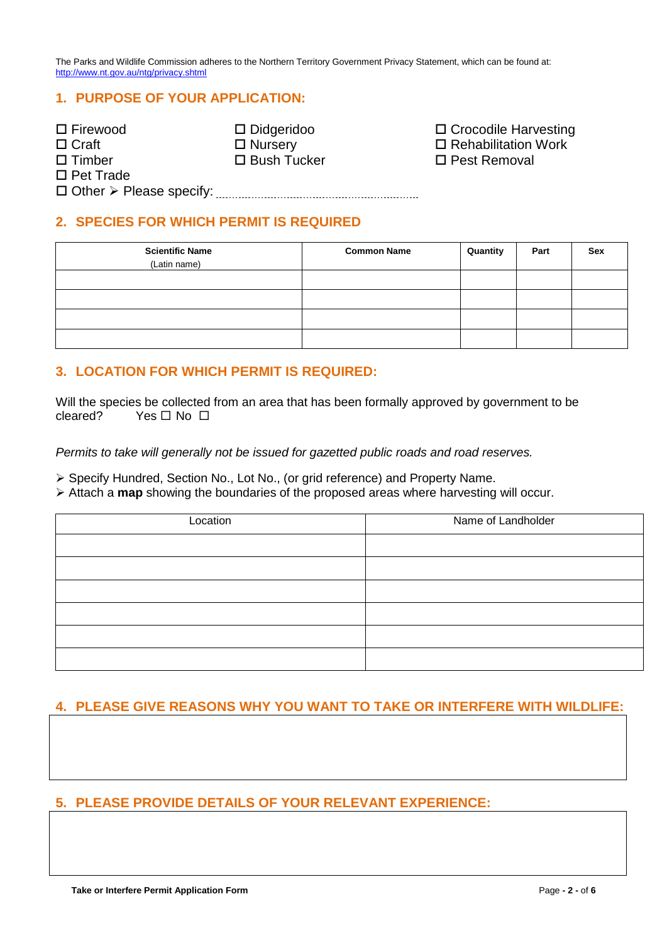The Parks and Wildlife Commission adheres to the Northern Territory Government Privacy Statement, which can be found at: <http://www.nt.gov.au/ntg/privacy.shtml>

# **1. PURPOSE OF YOUR APPLICATION:**

| $\Box$ Firewood                               | $\square$ Didgeridoo | □ Crocodile Harvesting     |
|-----------------------------------------------|----------------------|----------------------------|
| $\Box$ Craft                                  | $\Box$ Nursery       | $\Box$ Rehabilitation Work |
| $\Box$ Timber                                 | $\Box$ Bush Tucker   | $\Box$ Pest Removal        |
| $\Box$ Pet Trade                              |                      |                            |
| $\Box$ Other $\triangleright$ Please specify: |                      |                            |

## **2. SPECIES FOR WHICH PERMIT IS REQUIRED**

| <b>Scientific Name</b> | <b>Common Name</b> | Quantity | Part | <b>Sex</b> |
|------------------------|--------------------|----------|------|------------|
| (Latin name)           |                    |          |      |            |
|                        |                    |          |      |            |
|                        |                    |          |      |            |
|                        |                    |          |      |            |
|                        |                    |          |      |            |

## **3. LOCATION FOR WHICH PERMIT IS REQUIRED:**

Will the species be collected from an area that has been formally approved by government to be cleared? Yes  $\Box$  No  $\Box$ 

*Permits to take will generally not be issued for gazetted public roads and road reserves.*

Specify Hundred, Section No., Lot No., (or grid reference) and Property Name.

Attach a **map** showing the boundaries of the proposed areas where harvesting will occur.

| Location | Name of Landholder |
|----------|--------------------|
|          |                    |
|          |                    |
|          |                    |
|          |                    |
|          |                    |
|          |                    |

# **4. PLEASE GIVE REASONS WHY YOU WANT TO TAKE OR INTERFERE WITH WILDLIFE:**

# **5. PLEASE PROVIDE DETAILS OF YOUR RELEVANT EXPERIENCE:**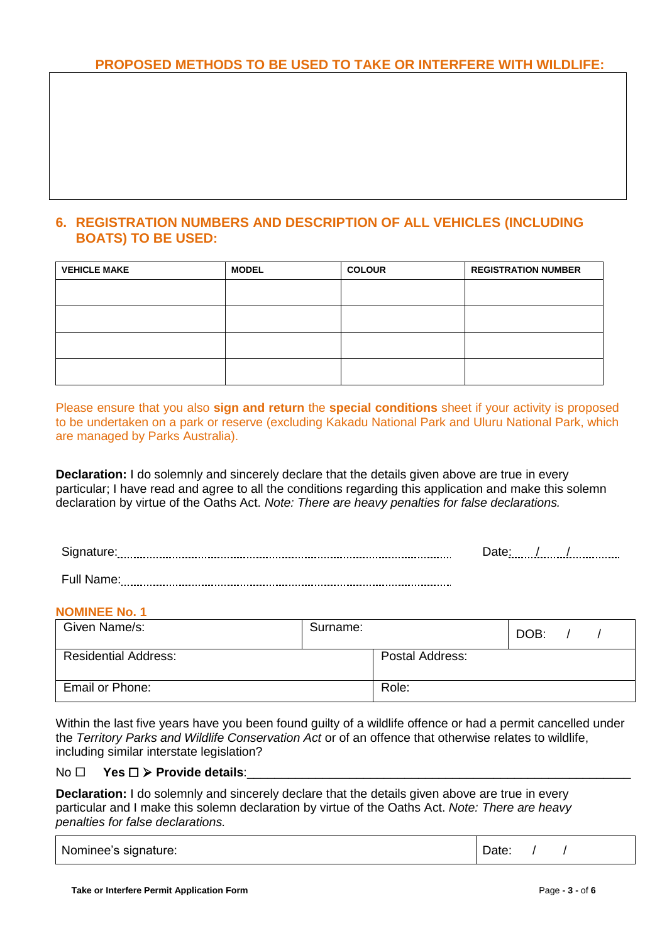# **6. REGISTRATION NUMBERS AND DESCRIPTION OF ALL VEHICLES (INCLUDING BOATS) TO BE USED:**

| <b>VEHICLE MAKE</b> | <b>MODEL</b> | <b>COLOUR</b> | <b>REGISTRATION NUMBER</b> |
|---------------------|--------------|---------------|----------------------------|
|                     |              |               |                            |
|                     |              |               |                            |
|                     |              |               |                            |
|                     |              |               |                            |
|                     |              |               |                            |

Please ensure that you also **sign and return** the **special conditions** sheet if your activity is proposed to be undertaken on a park or reserve (excluding Kakadu National Park and Uluru National Park, which are managed by Parks Australia).

**Declaration:** I do solemnly and sincerely declare that the details given above are true in every particular; I have read and agree to all the conditions regarding this application and make this solemn declaration by virtue of the Oaths Act. *Note: There are heavy penalties for false declarations.*

Signature: Date: / /

Full Name:

## **NOMINEE No. 1**

| Given Name/s:               | Surname: |                 | DOB: |  |
|-----------------------------|----------|-----------------|------|--|
| <b>Residential Address:</b> |          | Postal Address: |      |  |
| Email or Phone:             |          | Role:           |      |  |

Within the last five years have you been found guilty of a wildlife offence or had a permit cancelled under the *Territory Parks and Wildlife Conservation Act* or of an offence that otherwise relates to wildlife, including similar interstate legislation?

## No  $\square$  Yes  $\square$  > Provide details:

**Declaration:** I do solemnly and sincerely declare that the details given above are true in every particular and I make this solemn declaration by virtue of the Oaths Act. *Note: There are heavy penalties for false declarations.*

| Nominee's signature: | Date: |  |  |
|----------------------|-------|--|--|
|----------------------|-------|--|--|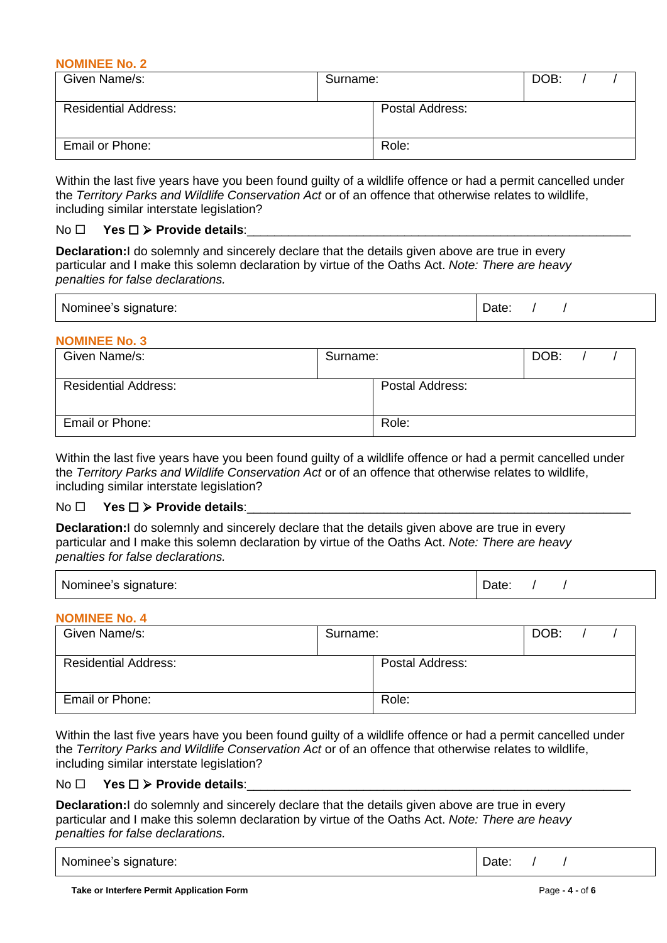#### **NOMINEE No. 2**

| Given Name/s:               | Surname: |                 | DOB: |  |
|-----------------------------|----------|-----------------|------|--|
| <b>Residential Address:</b> |          | Postal Address: |      |  |
| Email or Phone:             |          | Role:           |      |  |

Within the last five years have you been found guilty of a wildlife offence or had a permit cancelled under the *Territory Parks and Wildlife Conservation Act* or of an offence that otherwise relates to wildlife, including similar interstate legislation?

### $No \Box$  Yes  $\square$  > Provide details:

**Declaration:**I do solemnly and sincerely declare that the details given above are true in every particular and I make this solemn declaration by virtue of the Oaths Act. *Note: There are heavy penalties for false declarations.*

| Nominee's signature: | Date: |
|----------------------|-------|
|----------------------|-------|

## **NOMINEE No. 3**

| Given Name/s:               | Surname: |                 | DOB: |  |
|-----------------------------|----------|-----------------|------|--|
| <b>Residential Address:</b> |          | Postal Address: |      |  |
| <b>Email or Phone:</b>      |          | Role:           |      |  |

Within the last five years have you been found guilty of a wildlife offence or had a permit cancelled under the *Territory Parks and Wildlife Conservation Act* or of an offence that otherwise relates to wildlife, including similar interstate legislation?

### $No \Box$  Yes  $\square$  > Provide details:

**Declaration:**I do solemnly and sincerely declare that the details given above are true in every particular and I make this solemn declaration by virtue of the Oaths Act. *Note: There are heavy penalties for false declarations.*

| Nominee's signature: | Date |
|----------------------|------|
|----------------------|------|

## **NOMINEE No. 4**

| Given Name/s:               | Surname: |                 | DOB: |  |
|-----------------------------|----------|-----------------|------|--|
| <b>Residential Address:</b> |          | Postal Address: |      |  |
| <b>Email or Phone:</b>      |          | Role:           |      |  |

Within the last five years have you been found guilty of a wildlife offence or had a permit cancelled under the *Territory Parks and Wildlife Conservation Act* or of an offence that otherwise relates to wildlife, including similar interstate legislation?

### $No \Box$  Yes  $\square$  > Provide details:

**Declaration:**I do solemnly and sincerely declare that the details given above are true in every particular and I make this solemn declaration by virtue of the Oaths Act. *Note: There are heavy penalties for false declarations.*

| Nominee's signature: | Date: |  |  |  |
|----------------------|-------|--|--|--|
|----------------------|-------|--|--|--|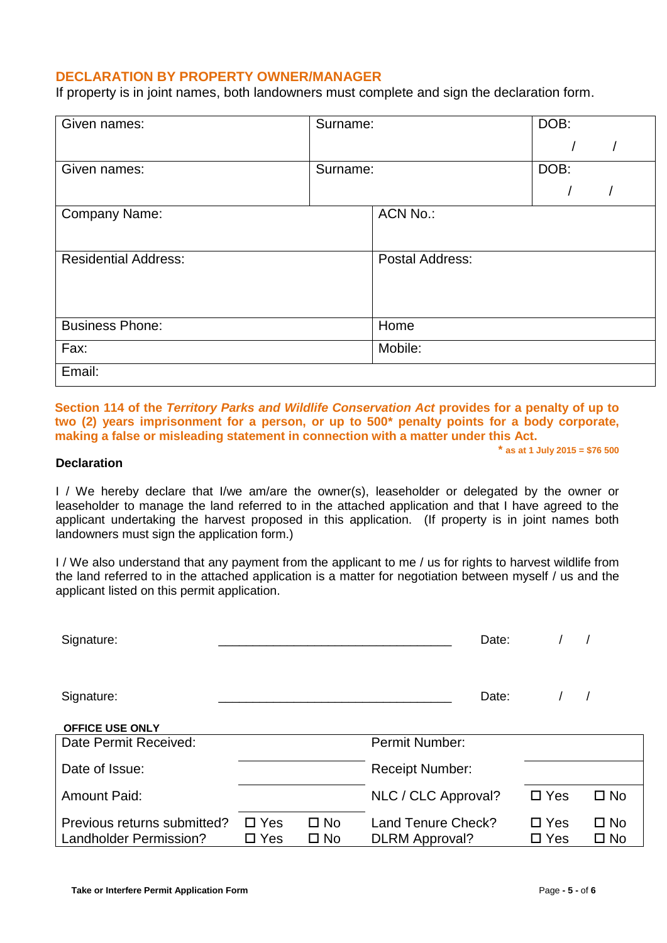## **DECLARATION BY PROPERTY OWNER/MANAGER**

If property is in joint names, both landowners must complete and sign the declaration form.

| Given names:                | Surname: |                        | DOB: |
|-----------------------------|----------|------------------------|------|
|                             |          |                        |      |
|                             |          |                        |      |
| Given names:                | Surname: |                        | DOB: |
|                             |          |                        |      |
| Company Name:               |          | <b>ACN No.:</b>        |      |
|                             |          |                        |      |
|                             |          |                        |      |
| <b>Residential Address:</b> |          | <b>Postal Address:</b> |      |
|                             |          |                        |      |
|                             |          |                        |      |
|                             |          |                        |      |
|                             |          |                        |      |
| <b>Business Phone:</b>      |          | Home                   |      |
|                             |          |                        |      |
| Fax:                        |          | Mobile:                |      |
| Email:                      |          |                        |      |
|                             |          |                        |      |

**Section 114 of the** *Territory Parks and Wildlife Conservation Act* **provides for a penalty of up to two (2) years imprisonment for a person, or up to 500\* penalty points for a body corporate, making a false or misleading statement in connection with a matter under this Act.**

### **Declaration**

**\* as at 1 July 2015 = \$76 500**

I / We hereby declare that I/we am/are the owner(s), leaseholder or delegated by the owner or leaseholder to manage the land referred to in the attached application and that I have agreed to the applicant undertaking the harvest proposed in this application. (If property is in joint names both landowners must sign the application form.)

I / We also understand that any payment from the applicant to me / us for rights to harvest wildlife from the land referred to in the attached application is a matter for negotiation between myself / us and the applicant listed on this permit application.

| Signature:                                            |                             |                              | Date:                                       |                                |                              |
|-------------------------------------------------------|-----------------------------|------------------------------|---------------------------------------------|--------------------------------|------------------------------|
| Signature:                                            |                             |                              | Date:                                       |                                |                              |
| <b>OFFICE USE ONLY</b>                                |                             |                              |                                             |                                |                              |
| Date Permit Received:                                 |                             |                              | Permit Number:                              |                                |                              |
| Date of Issue:                                        |                             |                              | <b>Receipt Number:</b>                      |                                |                              |
| <b>Amount Paid:</b>                                   |                             |                              | NLC / CLC Approval?                         | $\square$ Yes                  | $\square$ No                 |
| Previous returns submitted?<br>Landholder Permission? | $\Box$ Yes<br>$\square$ Yes | $\square$ No<br>$\square$ No | Land Tenure Check?<br><b>DLRM</b> Approval? | $\square$ Yes<br>$\square$ Yes | $\square$ No<br>$\square$ No |